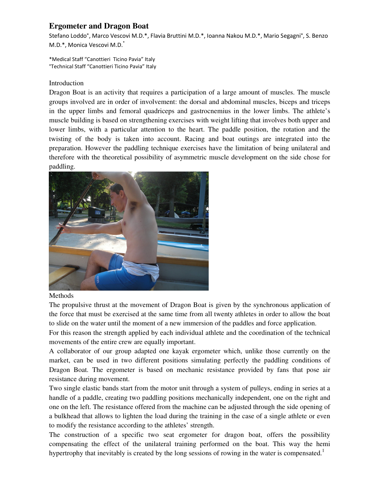## **Ergometer and Dragon Boat**

Stefano Loddo°, Marco Vescovi M.D.\*, Flavia Bruttini M.D.\*, Ioanna Nakou M.D.\*, Mario Segagni°, S. Benzo M.D.\*, Monica Vescovi M.D.\*

\*Medical Staff "Canottieri Ticino Pavia" Italy °Technical Staff "Canottieri Ticino Pavia" Italy

## Introduction

Dragon Boat is an activity that requires a participation of a large amount of muscles. The muscle groups involved are in order of involvement: the dorsal and abdominal muscles, biceps and triceps in the upper limbs and femoral quadriceps and gastrocnemius in the lower limbs. The athlete's muscle building is based on strengthening exercises with weight lifting that involves both upper and lower limbs, with a particular attention to the heart. The paddle position, the rotation and the twisting of the body is taken into account. Racing and boat outings are integrated into the preparation. However the paddling technique exercises have the limitation of being unilateral and therefore with the theoretical possibility of asymmetric muscle development on the side chose for paddling.



## Methods

The propulsive thrust at the movement of Dragon Boat is given by the synchronous application of the force that must be exercised at the same time from all twenty athletes in order to allow the boat to slide on the water until the moment of a new immersion of the paddles and force application.

For this reason the strength applied by each individual athlete and the coordination of the technical movements of the entire crew are equally important.

A collaborator of our group adapted one kayak ergometer which, unlike those currently on the market, can be used in two different positions simulating perfectly the paddling conditions of Dragon Boat. The ergometer is based on mechanic resistance provided by fans that pose air resistance during movement.

Two single elastic bands start from the motor unit through a system of pulleys, ending in series at a handle of a paddle, creating two paddling positions mechanically independent, one on the right and one on the left. The resistance offered from the machine can be adjusted through the side opening of a bulkhead that allows to lighten the load during the training in the case of a single athlete or even to modify the resistance according to the athletes' strength.

The construction of a specific two seat ergometer for dragon boat, offers the possibility compensating the effect of the unilateral training performed on the boat. This way the hemi hypertrophy that inevitably is created by the long sessions of rowing in the water is compensated.<sup>1</sup>